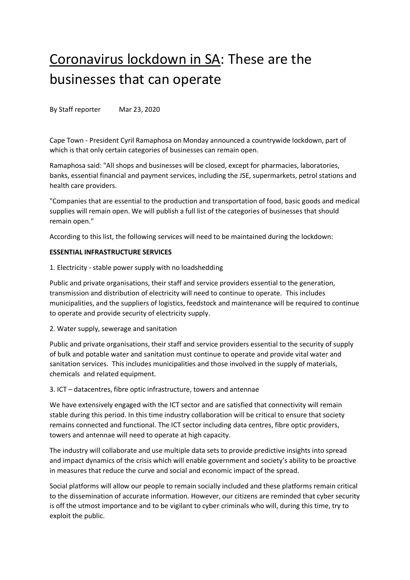# Coronavirus lockdown in SA: These are the businesses that can operate

By Staff reporter Mar 23, 2020

Cape Town - President Cyril Ramaphosa on Monday announced a countrywide lockdown, part of which is that only certain categories of businesses can remain open.

Ramaphosa said: "All shops and businesses will be closed, except for pharmacies, laboratories, banks, essential financial and payment services, including the JSE, supermarkets, petrol stations and health care providers.

"Companies that are essential to the production and transportation of food, basic goods and medical supplies will remain open. We will publish a full list of the categories of businesses that should remain open."

According to this list, the following services will need to be maintained during the lockdown:

## **ESSENTIAL INFRASTRUCTURE SERVICES**

1. Electricity - stable power supply with no loadshedding

Public and private organisations, their staff and service providers essential to the generation, transmission and distribution of electricity will need to continue to operate. This includes municipalities, and the suppliers of logistics, feedstock and maintenance will be required to continue to operate and provide security of electricity supply.

2. Water supply, sewerage and sanitation

Public and private organisations, their staff and service providers essential to the security of supply of bulk and potable water and sanitation must continue to operate and provide vital water and sanitation services. This includes municipalities and those involved in the supply of materials, chemicals and related equipment.

3. ICT – datacentres, fibre optic infrastructure, towers and antennae

We have extensively engaged with the ICT sector and are satisfied that connectivity will remain stable during this period. In this time industry collaboration will be critical to ensure that society remains connected and functional. The ICT sector including data centres, fibre optic providers, towers and antennae will need to operate at high capacity.

The industry will collaborate and use multiple data sets to provide predictive insights into spread and impact dynamics of the crisis which will enable government and society's ability to be proactive in measures that reduce the curve and social and economic impact of the spread.

Social platforms will allow our people to remain socially included and these platforms remain critical to the dissemination of accurate information. However, our citizens are reminded that cyber security is off the utmost importance and to be vigilant to cyber criminals who will, during this time, try to exploit the public.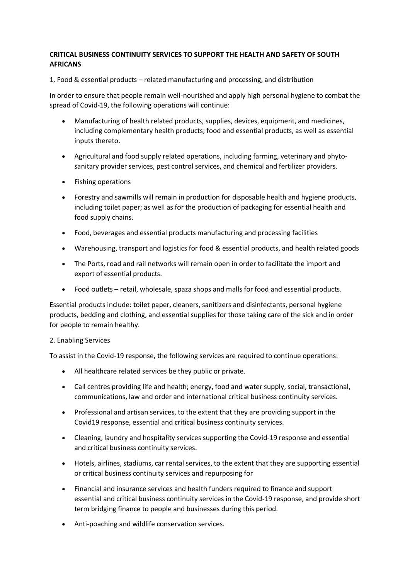## **CRITICAL BUSINESS CONTINUITY SERVICES TO SUPPORT THE HEALTH AND SAFETY OF SOUTH AFRICANS**

1. Food & essential products – related manufacturing and processing, and distribution

In order to ensure that people remain well-nourished and apply high personal hygiene to combat the spread of Covid-19, the following operations will continue:

- Manufacturing of health related products, supplies, devices, equipment, and medicines, including complementary health products; food and essential products, as well as essential inputs thereto.
- Agricultural and food supply related operations, including farming, veterinary and phytosanitary provider services, pest control services, and chemical and fertilizer providers.
- Fishing operations
- Forestry and sawmills will remain in production for disposable health and hygiene products, including toilet paper; as well as for the production of packaging for essential health and food supply chains.
- Food, beverages and essential products manufacturing and processing facilities
- Warehousing, transport and logistics for food & essential products, and health related goods
- The Ports, road and rail networks will remain open in order to facilitate the import and export of essential products.
- Food outlets retail, wholesale, spaza shops and malls for food and essential products.

Essential products include: toilet paper, cleaners, sanitizers and disinfectants, personal hygiene products, bedding and clothing, and essential supplies for those taking care of the sick and in order for people to remain healthy.

#### 2. Enabling Services

To assist in the Covid-19 response, the following services are required to continue operations:

- All healthcare related services be they public or private.
- Call centres providing life and health; energy, food and water supply, social, transactional, communications, law and order and international critical business continuity services.
- Professional and artisan services, to the extent that they are providing support in the Covid19 response, essential and critical business continuity services.
- Cleaning, laundry and hospitality services supporting the Covid-19 response and essential and critical business continuity services.
- Hotels, airlines, stadiums, car rental services, to the extent that they are supporting essential or critical business continuity services and repurposing for
- Financial and insurance services and health funders required to finance and support essential and critical business continuity services in the Covid-19 response, and provide short term bridging finance to people and businesses during this period.
- Anti-poaching and wildlife conservation services.